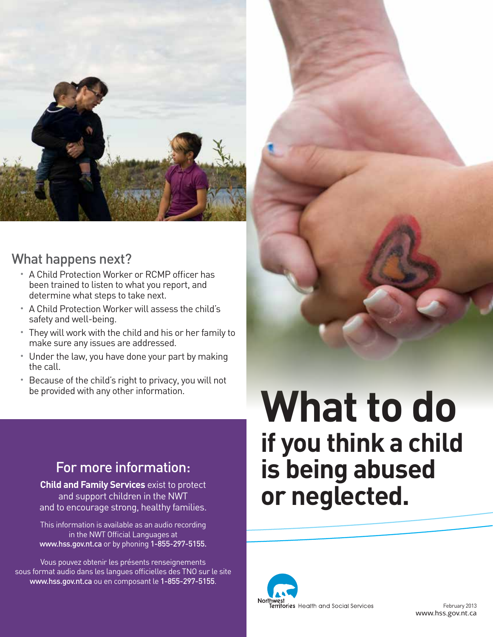

## What happens next?

- A Child Protection Worker or RCMP officer has been trained to listen to what you report, and determine what steps to take next.
- A Child Protection Worker will assess the child's safety and well-being.
- They will work with the child and his or her family to make sure any issues are addressed.
- Under the law, you have done your part by making the call.
- Because of the child's right to privacy, you will not be provided with any other information.

# For more information:

**Child and Family Services** exist to protect and support children in the NWT and to encourage strong, healthy families.

This information is available as an audio recording in the NWT Official Languages at www.hss.gov.nt.ca or by phoning 1-855-297-5155.

Vous pouvez obtenir les présents renseignements sous format audio dans les langues officielles des TNO sur le site www.hss.gov.nt.ca ou en composant le 1-855-297-5155.

# **What to do if you think a child is being abused or neglected.**